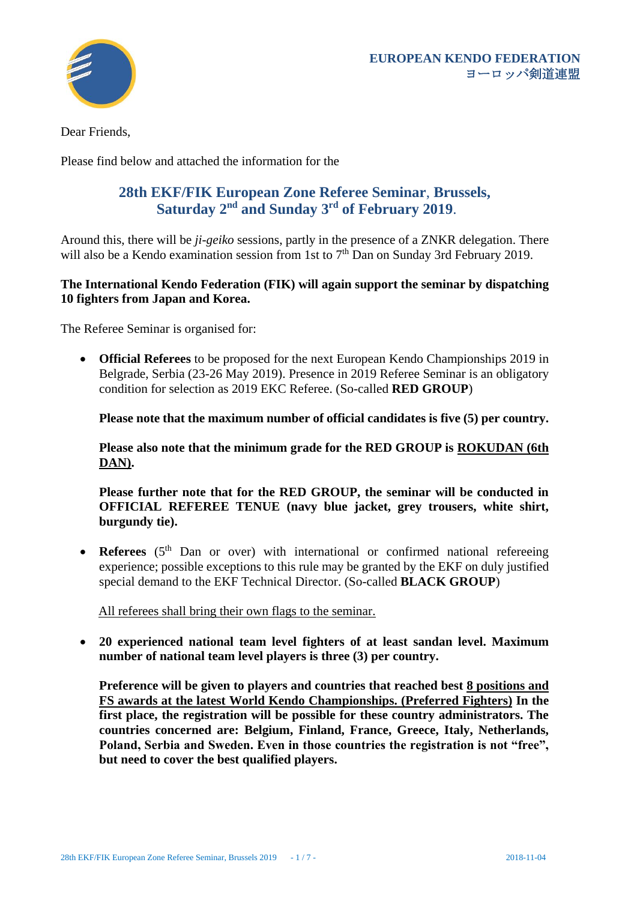

Dear Friends,

Please find below and attached the information for the

## **28th EKF/FIK European Zone Referee Seminar**, **Brussels, Saturday 2 nd and Sunday 3 rd of February 2019**.

Around this, there will be *ji-geiko* sessions, partly in the presence of a ZNKR delegation. There will also be a Kendo examination session from 1st to  $7<sup>th</sup>$  Dan on Sunday 3rd February 2019.

#### **The International Kendo Federation (FIK) will again support the seminar by dispatching 10 fighters from Japan and Korea.**

The Referee Seminar is organised for:

• **Official Referees** to be proposed for the next European Kendo Championships 2019 in Belgrade, Serbia (23-26 May 2019). Presence in 2019 Referee Seminar is an obligatory condition for selection as 2019 EKC Referee. (So-called **RED GROUP**)

**Please note that the maximum number of official candidates is five (5) per country.**

**Please also note that the minimum grade for the RED GROUP is ROKUDAN (6th DAN).**

**Please further note that for the RED GROUP, the seminar will be conducted in OFFICIAL REFEREE TENUE (navy blue jacket, grey trousers, white shirt, burgundy tie).** 

• **Referees** (5<sup>th</sup> Dan or over) with international or confirmed national refereeing experience; possible exceptions to this rule may be granted by the EKF on duly justified special demand to the EKF Technical Director. (So-called **BLACK GROUP**)

All referees shall bring their own flags to the seminar.

• **20 experienced national team level fighters of at least sandan level. Maximum number of national team level players is three (3) per country.**

**Preference will be given to players and countries that reached best 8 positions and FS awards at the latest World Kendo Championships. (Preferred Fighters) In the first place, the registration will be possible for these country administrators. The countries concerned are: Belgium, Finland, France, Greece, Italy, Netherlands, Poland, Serbia and Sweden. Even in those countries the registration is not "free", but need to cover the best qualified players.**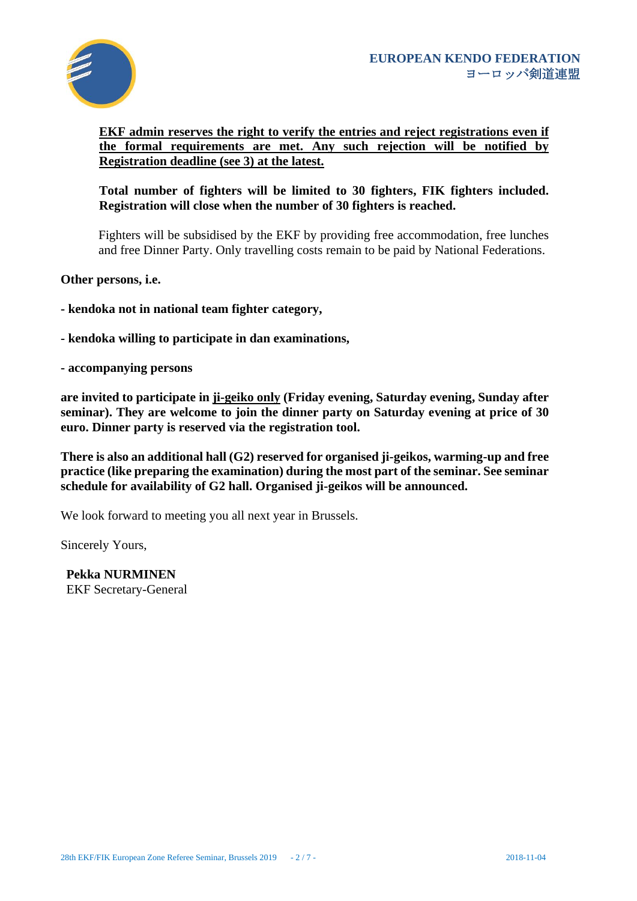

## **EKF admin reserves the right to verify the entries and reject registrations even if the formal requirements are met. Any such rejection will be notified by Registration deadline (see [3\)](#page-4-0) at the latest.**

## **Total number of fighters will be limited to 30 fighters, FIK fighters included. Registration will close when the number of 30 fighters is reached.**

Fighters will be subsidised by the EKF by providing free accommodation, free lunches and free Dinner Party. Only travelling costs remain to be paid by National Federations.

**Other persons, i.e.**

**- kendoka not in national team fighter category,** 

**- kendoka willing to participate in dan examinations,** 

**- accompanying persons** 

**are invited to participate in ji-geiko only (Friday evening, Saturday evening, Sunday after seminar). They are welcome to join the dinner party on Saturday evening at price of 30 euro. Dinner party is reserved via the registration tool.**

**There is also an additional hall (G2) reserved for organised ji-geikos, warming-up and free practice (like preparing the examination) during the most part of the seminar. See seminar schedule for availability of G2 hall. Organised ji-geikos will be announced.** 

We look forward to meeting you all next year in Brussels.

Sincerely Yours,

**Pekka NURMINEN** EKF Secretary-General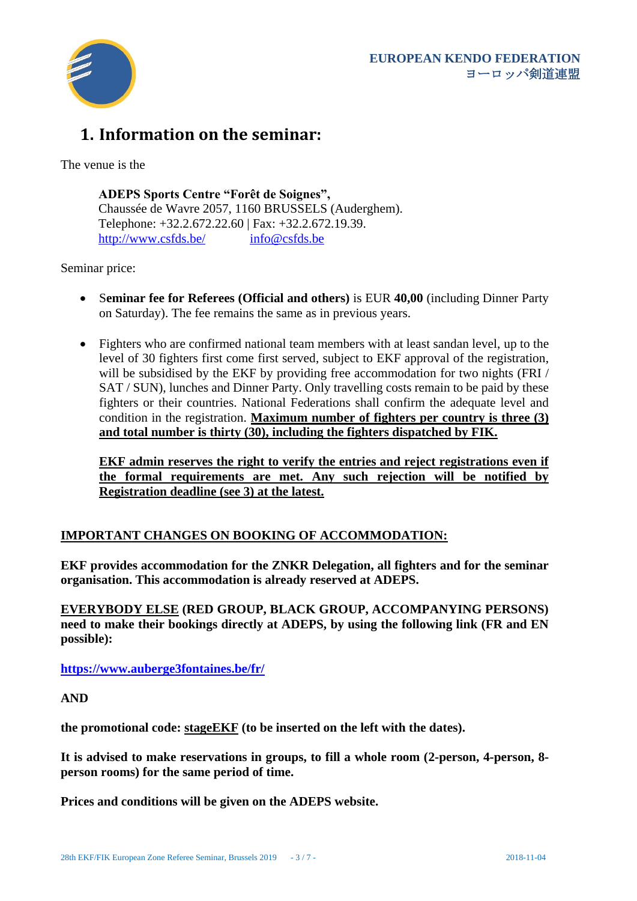

# **1. Information on the seminar:**

The venue is the

**ADEPS Sports Centre "Forêt de Soignes",**  Chaussée de Wavre 2057, 1160 BRUSSELS (Auderghem). Telephone: +32.2.672.22.60 | Fax: +32.2.672.19.39. <http://www.csfds.be/> [info@csfds.be](mailto:info@csfds.be)

Seminar price:

- S**eminar fee for Referees (Official and others)** is EUR **40,00** (including Dinner Party on Saturday). The fee remains the same as in previous years.
- Fighters who are confirmed national team members with at least sandan level, up to the level of 30 fighters first come first served, subject to EKF approval of the registration, will be subsidised by the EKF by providing free accommodation for two nights (FRI) SAT / SUN), lunches and Dinner Party. Only travelling costs remain to be paid by these fighters or their countries. National Federations shall confirm the adequate level and condition in the registration. **Maximum number of fighters per country is three (3) and total number is thirty (30), including the fighters dispatched by FIK.**

**EKF admin reserves the right to verify the entries and reject registrations even if the formal requirements are met. Any such rejection will be notified by Registration deadline (see [3\)](#page-4-0) at the latest.**

#### **IMPORTANT CHANGES ON BOOKING OF ACCOMMODATION:**

**EKF provides accommodation for the ZNKR Delegation, all fighters and for the seminar organisation. This accommodation is already reserved at ADEPS.**

**EVERYBODY ELSE (RED GROUP, BLACK GROUP, ACCOMPANYING PERSONS) need to make their bookings directly at ADEPS, by using the following link (FR and EN possible):**

**<https://www.auberge3fontaines.be/fr/>**

**AND** 

**the promotional code: stageEKF (to be inserted on the left with the dates).**

**It is advised to make reservations in groups, to fill a whole room (2-person, 4-person, 8 person rooms) for the same period of time.** 

**Prices and conditions will be given on the ADEPS website.**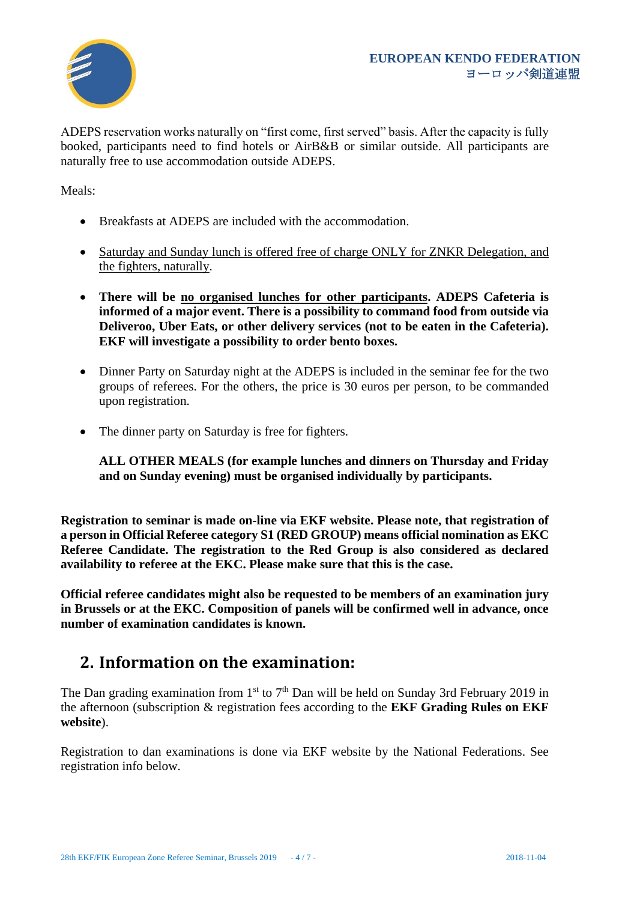

ADEPS reservation works naturally on "first come, first served" basis. After the capacity is fully booked, participants need to find hotels or AirB&B or similar outside. All participants are naturally free to use accommodation outside ADEPS.

Meals:

- Breakfasts at ADEPS are included with the accommodation.
- Saturday and Sunday lunch is offered free of charge ONLY for ZNKR Delegation, and the fighters, naturally.
- **There will be no organised lunches for other participants. ADEPS Cafeteria is informed of a major event. There is a possibility to command food from outside via Deliveroo, Uber Eats, or other delivery services (not to be eaten in the Cafeteria). EKF will investigate a possibility to order bento boxes.**
- Dinner Party on Saturday night at the ADEPS is included in the seminar fee for the two groups of referees. For the others, the price is 30 euros per person, to be commanded upon registration.
- The dinner party on Saturday is free for fighters.

**ALL OTHER MEALS (for example lunches and dinners on Thursday and Friday and on Sunday evening) must be organised individually by participants.**

**Registration to seminar is made on-line via EKF website. Please note, that registration of a person in Official Referee category S1 (RED GROUP) means official nomination as EKC Referee Candidate. The registration to the Red Group is also considered as declared availability to referee at the EKC. Please make sure that this is the case.**

**Official referee candidates might also be requested to be members of an examination jury in Brussels or at the EKC. Composition of panels will be confirmed well in advance, once number of examination candidates is known.**

## **2. Information on the examination:**

The Dan grading examination from  $1<sup>st</sup>$  to  $7<sup>th</sup>$  Dan will be held on Sunday 3rd February 2019 in the afternoon (subscription & registration fees according to the **EKF Grading Rules on EKF website**).

Registration to dan examinations is done via EKF website by the National Federations. See registration info below.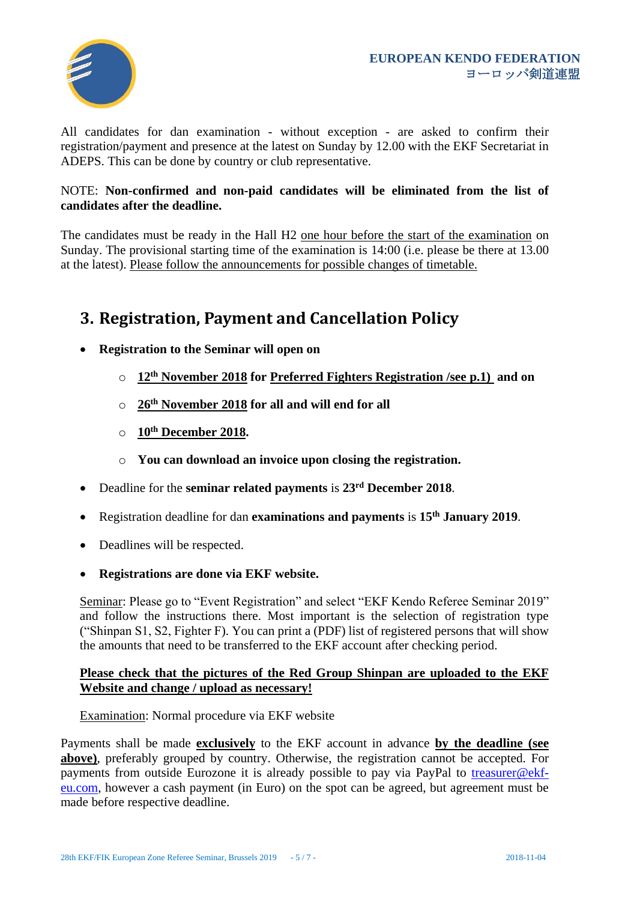

All candidates for dan examination - without exception - are asked to confirm their registration/payment and presence at the latest on Sunday by 12.00 with the EKF Secretariat in ADEPS. This can be done by country or club representative.

#### NOTE: **Non-confirmed and non-paid candidates will be eliminated from the list of candidates after the deadline.**

The candidates must be ready in the Hall H2 one hour before the start of the examination on Sunday. The provisional starting time of the examination is 14:00 (i.e. please be there at 13.00 at the latest). Please follow the announcements for possible changes of timetable.

## <span id="page-4-0"></span>**3. Registration, Payment and Cancellation Policy**

- **Registration to the Seminar will open on** 
	- o **12th November 2018 for Preferred Fighters Registration /see p.1) and on**
	- o **26th November 2018 for all and will end for all**
	- o **10th December 2018.**
	- o **You can download an invoice upon closing the registration.**
- Deadline for the **seminar related payments** is **23 rd December 2018**.
- Registration deadline for dan **examinations and payments** is **15th January 2019**.
- Deadlines will be respected.
- **Registrations are done via EKF website.**

Seminar: Please go to "Event Registration" and select "EKF Kendo Referee Seminar 2019" and follow the instructions there. Most important is the selection of registration type ("Shinpan S1, S2, Fighter F). You can print a (PDF) list of registered persons that will show the amounts that need to be transferred to the EKF account after checking period.

#### **Please check that the pictures of the Red Group Shinpan are uploaded to the EKF Website and change / upload as necessary!**

Examination: Normal procedure via EKF website

Payments shall be made **exclusively** to the EKF account in advance **by the deadline (see above)**, preferably grouped by country. Otherwise, the registration cannot be accepted. For payments from outside Eurozone it is already possible to pay via PayPal to [treasurer@ekf](mailto:treasurer@ekf-eu.com)[eu.com,](mailto:treasurer@ekf-eu.com) however a cash payment (in Euro) on the spot can be agreed, but agreement must be made before respective deadline.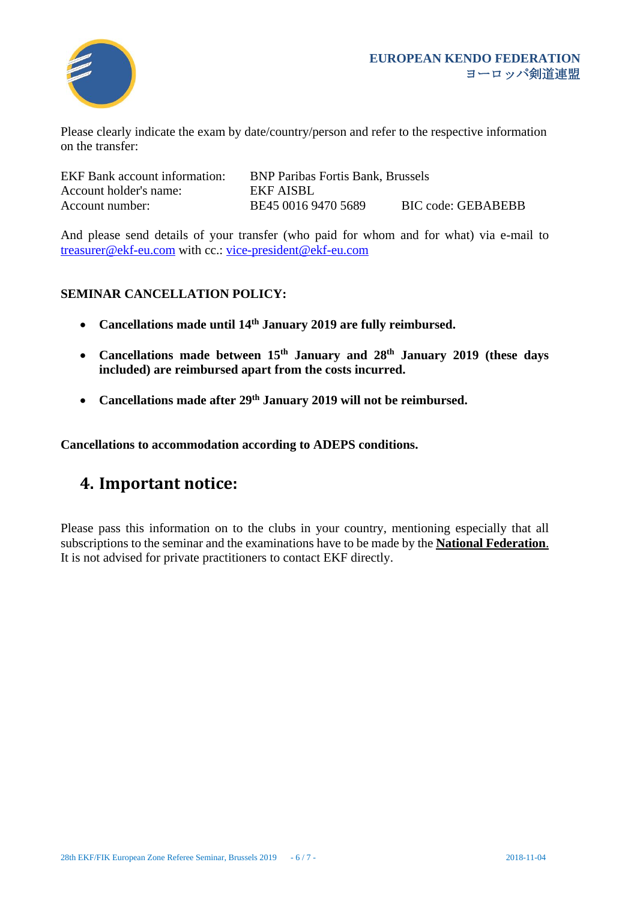

Please clearly indicate the exam by date/country/person and refer to the respective information on the transfer:

| <b>EKF Bank account information:</b> | <b>BNP Paribas Fortis Bank, Brussels</b> |                           |
|--------------------------------------|------------------------------------------|---------------------------|
| Account holder's name:               | EKF AISBL                                |                           |
| Account number:                      | BE45 0016 9470 5689                      | <b>BIC</b> code: GEBABEBB |

And please send details of your transfer (who paid for whom and for what) via e-mail to [treasurer@ekf-eu.com](mailto:treasurer@ekf-eu.com) with cc.: [vice-president@ekf-eu.com](mailto:vice-president@ekf-eu.com)

## **SEMINAR CANCELLATION POLICY:**

- **Cancellations made until 14 th January 2019 are fully reimbursed.**
- **Cancellations made between 15th January and 28 th January 2019 (these days included) are reimbursed apart from the costs incurred.**
- **Cancellations made after 29th January 2019 will not be reimbursed.**

**Cancellations to accommodation according to ADEPS conditions.** 

## **4. Important notice:**

Please pass this information on to the clubs in your country, mentioning especially that all subscriptions to the seminar and the examinations have to be made by the **National Federation**. It is not advised for private practitioners to contact EKF directly.